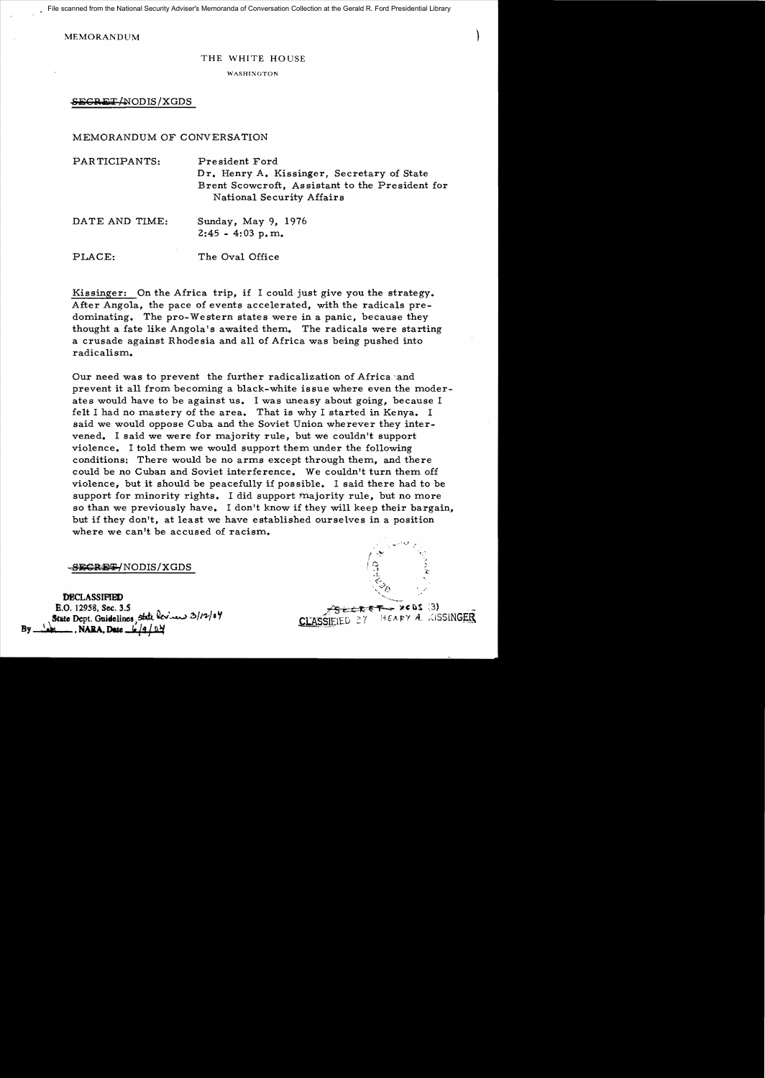File scanned from the National Security Adviser's Memoranda of Conversation Collection at the Gerald R. Ford Presidential Library

**MEMORANDUM** 

## THE WHITE HOUSE

WASHINGTON

SEGRET/NODIS/XGDS

## MEMORANDUM OF CONVERSATION

| PARTICIPANTS:  | President Ford<br>Dr. Henry A. Kissinger, Secretary of State<br>Brent Scowcroft, Assistant to the President for<br>National Security Affairs |
|----------------|----------------------------------------------------------------------------------------------------------------------------------------------|
| DATE AND TIME: | Sunday, May 9, 1976<br>$2:45 - 4:03$ p.m.                                                                                                    |
| PLACE:         | The Oval Office                                                                                                                              |

Kissinger: On the Africa trip, if I could just give you the strategy. After Angola, the pace of events accelerated, with the radicals predominating. The pro-Western states were in a panic, because they thought a fate like Angola's awaited them. The radicals were starting a crusade against Rhodesia and a1l of Africa was being pushed into radicalism.

Our need was to prevent the further radicalization of Africa. and prevent it all from becoming a black-white issue where even the moderates would have to be against us. I was uneasy about going, because I felt I had no mastery of the area. That is why I started in Kenya. I said we would oppose Cuba and the Soviet Union wherever they intervened. I said we were for majority rule, but we couldn't support violence. I told them we would support them under the following conditions: There would be no arms except through them, and there could be no Cuban and Soviet interference. We couldn't turn them off violence, but it should be peacefully if possible. I said there had to be support for minority rights. I did support majority rule, but no more so than we previously have. I don't know if they will keep their bargain, but if they don't, at least we have established ourselves in a position where we can't be accused of racism.

SECRET/NODIS/XGDS

DECLASSIFIED E.O. 12958, Sec. 3.5 State Dept. Guidelines, State bevious 3/12/04 By ... NARA. Date

. ....... ·t.,.i ./' "  $\mathfrak{e}$  . .f.  $\leq$ '. '~>e*..* ..... ,-:: '"'' .,,,..........

 $x \in \Omega$  ;  $3)$ CLASSIEIED 27 HEARY A. KISSINGER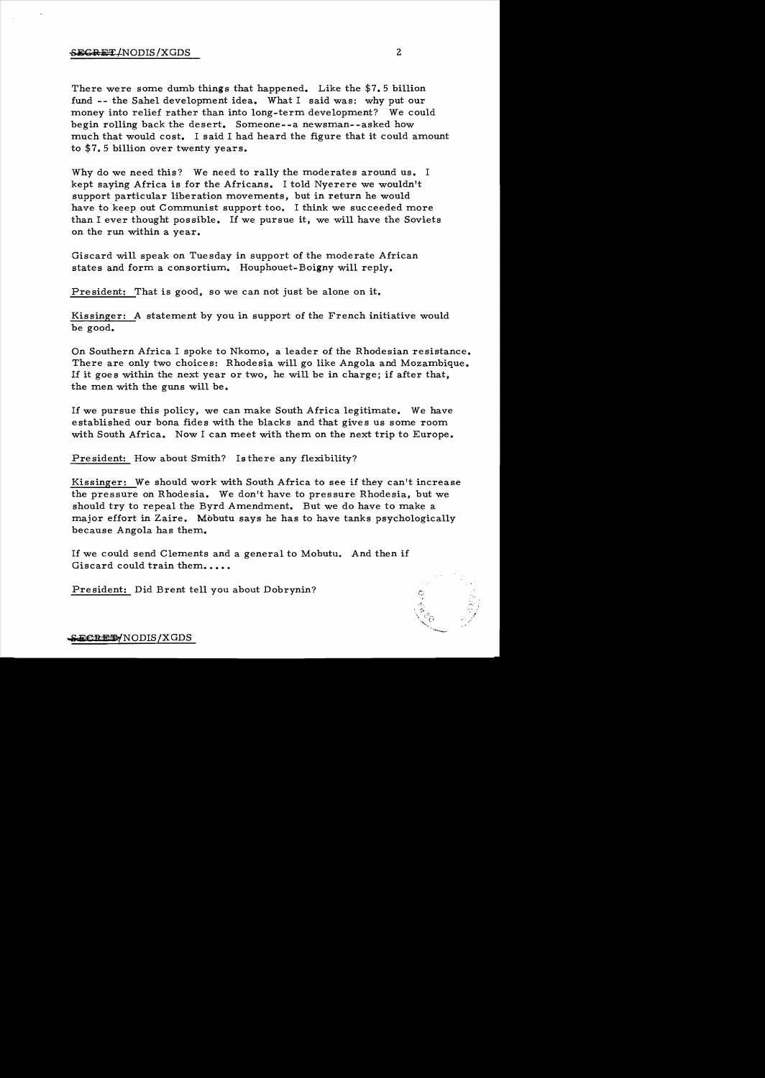There were some dumb things that happened. Like the  $$7.5$  billion fund -- the Sahel development idea. What I said was: why put our money into relief rather than into long-term development? We could begin rolling back the desert. Someone--a newsman--asked how much that would cost. I said I had heard the figure that it could amount to \$7.5 billion over twenty years.

Why do we need this? We need to rally the moderates around us. I kept saying Africa is for the Africans. I told Nyerere we wouldn't support particular liberation movements, but in return he would have to keep out Communist support too. I think we succeeded more than I ever thought possible. If we pursue it, we will have the Soviets on the run within a year.

Giscard will speak on Tuesday in support of the moderate African states and form a consortium. Houphouet-Boigny will reply.

President: That is good, so we can not just be alone on it.

Kissinger: A statement by you in support of the French initiative would be good.

On Southern Africa I spoke to Nkomo, a leader of the Rhodesian resistance. There are only two choices: Rhodesia will go like Angola and Mozambique. If it goes within the next year or two, he will be in charge; if after that, the men with the guns will be.

If we pursue this policy, we can make South Africa legitimate. We have established our bona fides with the blacks and that gives us some room. with South Africa. Now I can meet with them on the next trip to Europe.

President: How about Smith? Is there any flexibility?

Kissinger: We should work with South Africa to see if they can't increase the pressure on Rhodesia. We don't have to pressure Rhodesia, but we should try to repeal the Byrd Amendment. But we do have to make a major effort in Zaire. Mobutu says he has to have tanks psychologically because Angola has them..

If we could send Clements and a general to Mobutu. And then if Giscard could train them.....

President: Did Brent tell you about Dobrynin?



S<del>ECRET</del>/NODIS/XGDS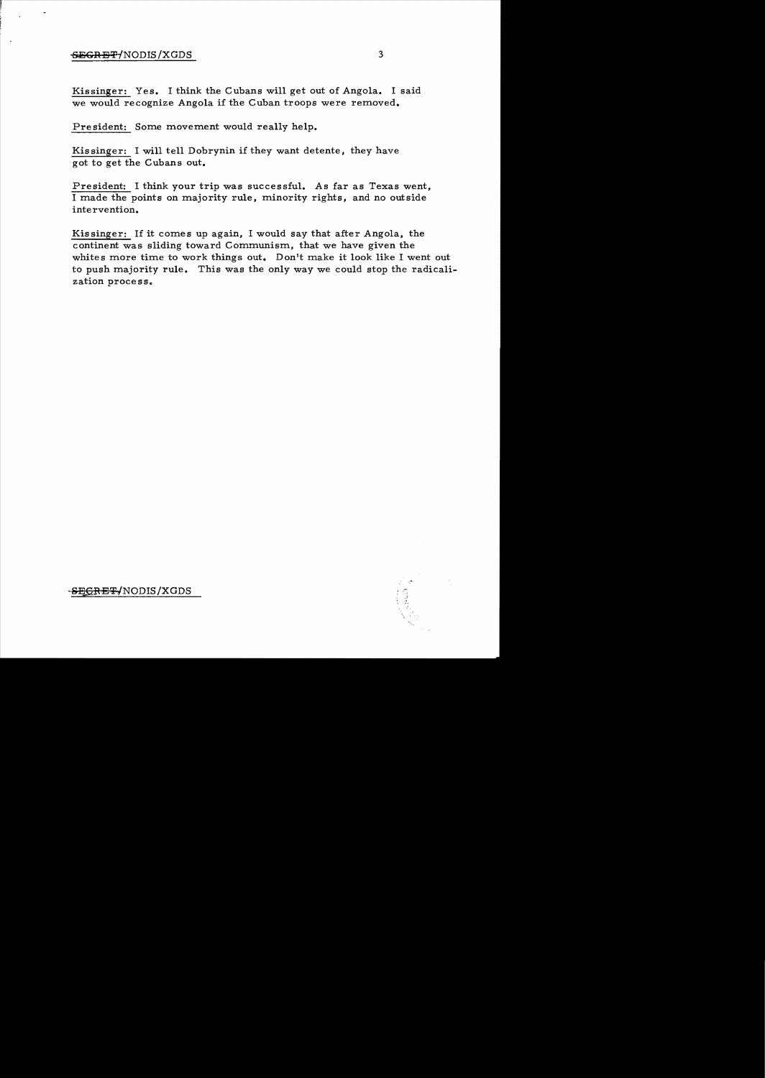## $-$ <del>GEGRET</del>/NODIS/XGDS 3

Kissinger: Yes. I think the Cubans will get out of Angola. I said we would recognize Angola if the Cuban troops were removed.

Pre sident: Some movement would really help.

Kis singer: I will tell Dobrynin if they want detente, they have got to get the Cubans out.

President: I think your trip was successful. As far as Texas went, I made the points on majority rule, minority rights, and no outside inte rvention.

Kissinger: If it comes up again, I would say that after Angola, the continent was sliding toward Communism, that we have given the whites more time to work things out. Don't make it look like I went out to push majority rule. This was the only way we could stop the radicalization process.



<del>SECRET/</del>NODIS/XGDS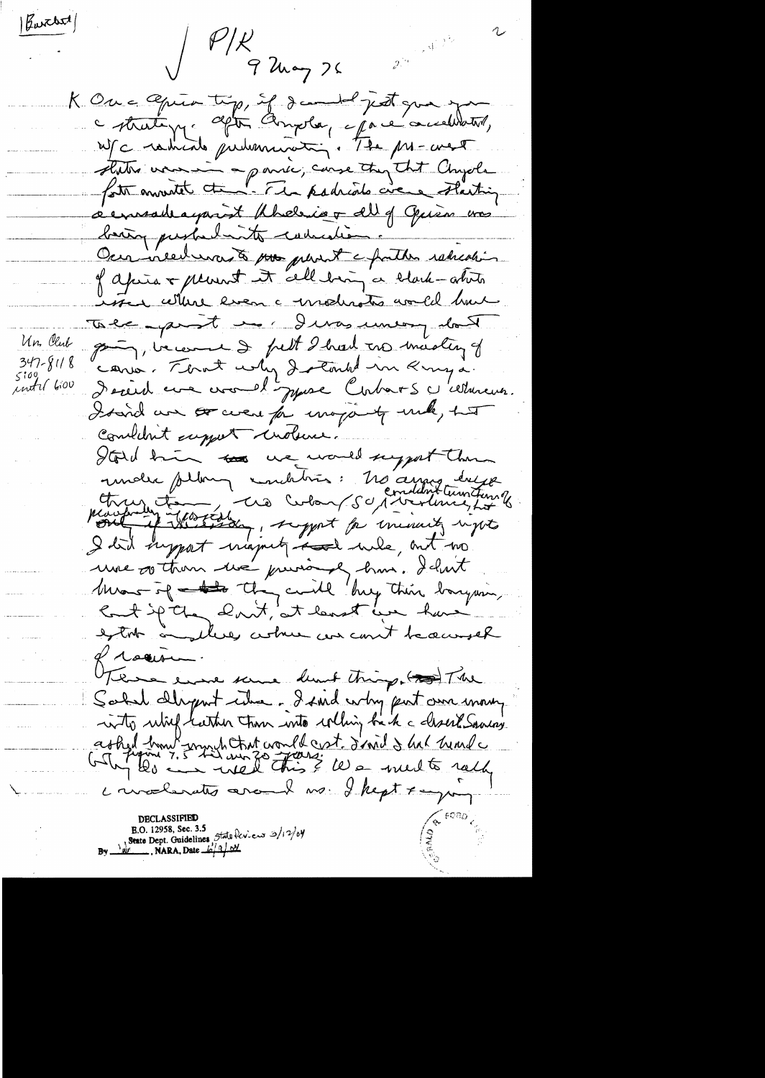$|\text{g}_{\text{w}}$ chst  $|\mathcal{P}/\mathcal{K}|$  q  $\lambda \sim$  $2^{2}$ K One Opier tip, if developed just good you - strate pp. after Amplie, epare accelerate, demande aparent photosis & all of Opison was bain pushalante cadacation. Occa incedences à pour periest e fruiter ratication inter where even a moderation would have Take point us. I was uneary don't Un. Club point, income & full I had no mastery of  $347 - 8118$ cons. That why dreamed in Kinga.  $5100$ <br>until 6:00 Dereid une circuit poure Corbats c'ellercur. I said an or were for majority under that combilent support unders. Hold him to we would suggest them index plan, inditions: No anne duge Most of they could buy this boysing Count if they don't, at least we have extra andleres certain concernt because of rocion there evere some demt things and The Sold dérprot citre, dand why put am money into which hatter than into whing be the characte Samon ashed how unuch that would cost d'aid & hat head convolondes around no I hept x-your B.O. 12958, Sec. 3.5<br>State Dept. Guidelines, State  $\frac{\log 2}{12}$ <br>N.W. NARA, Date  $\frac{\log 2}{12}$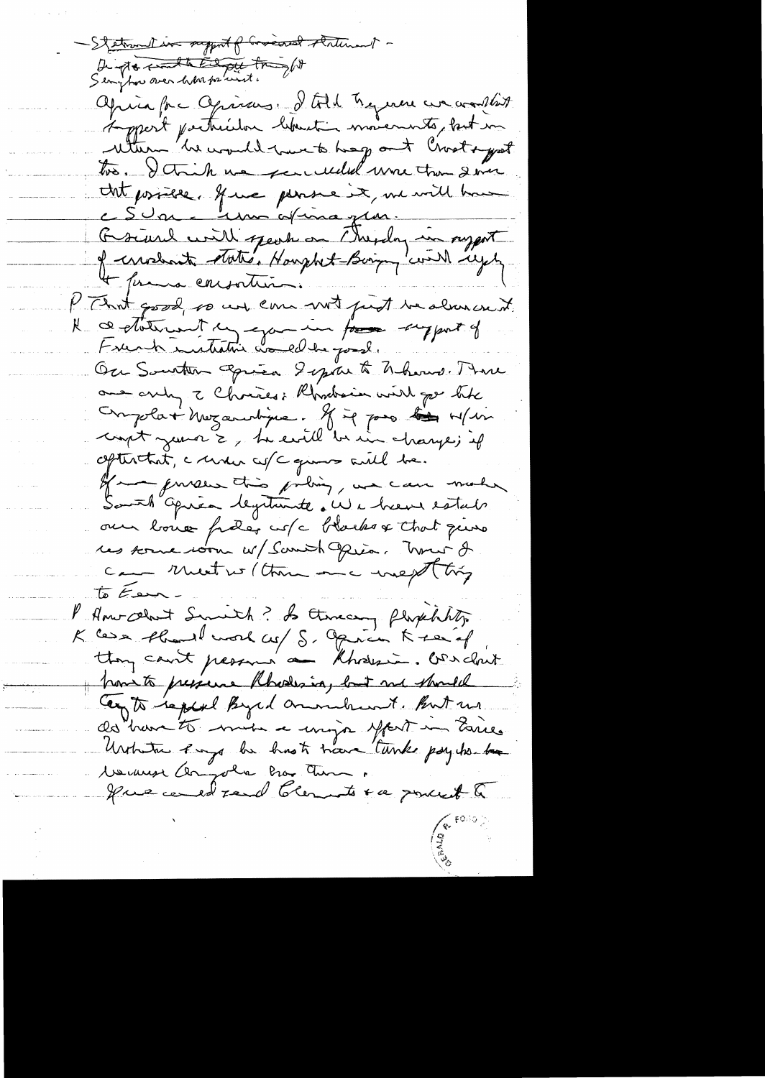- Stetrand in support of Governo stritunent -Dempto contaction tright aprira par après de la Commence de constat tro. I think we see useded une trou donc that possible. If we parse it, we will have c Sun Mm afinagen. Graine with speak on Thepday in support of cristiant state, Hought-Boirg with regel + prema consortion. P That good, so us can not just te alreacent. Ne ce Meternant en gancier forme support of Ou Souther Opiea Separt Nhour. Mi one any I Chrises: Rhodrain with go the Ompolat Mezandrine. If it pas lies w/in coupt just 2, la civil bi in change; if aptentat, a mour co/c quinos aute be. of mense this policy, we can me Somth après legitimité du cheuse estats our bone frées cus l'hocks & that pierre res some room w/ Samith Opion. Trouve 2 Cam Meet we (there are megt try to Ear P. Americant Smith? Is thereary Plophhty K Casa shared word co/ S. Opinion K serial how to presence Rhodesia, but me should Cay to replace Byed aroundreast. But we de have to mise a mija your maries Urtreta engage be hast trave tunk psycho-bar 1. We west Compola Pro Tum. gue cent rend blements to espouse to